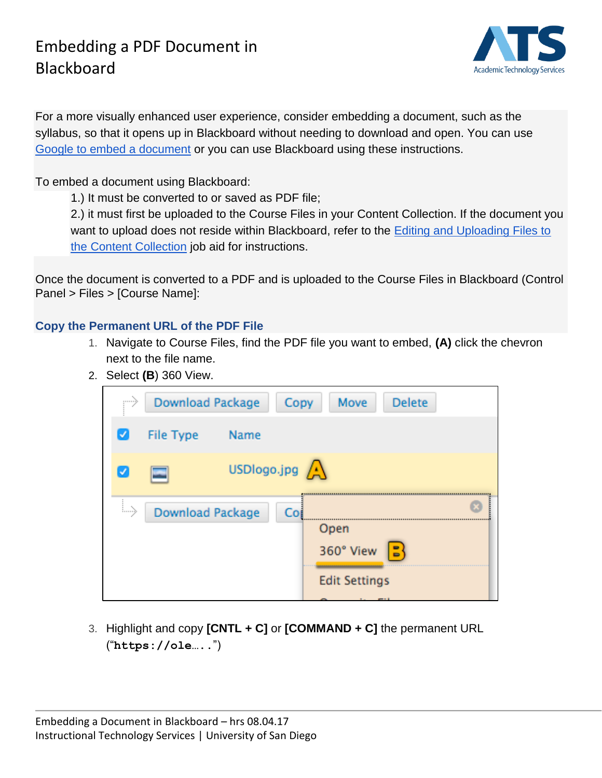### Embedding a PDF Document in Blackboard



For a more visually enhanced user experience, consider embedding a document, such as the syllabus, so that it opens up in Blackboard without needing to download and open. You can use [Google to embed a document](https://docs.google.com/document/d/1rwGjGgLGjyAQQmfQRt7_DJiboLUgGUHQwFPMzsC4HiQ/pub) or you can use Blackboard using these instructions.

To embed a document using Blackboard:

1.) It must be converted to or saved as PDF file;

2.) it must first be uploaded to the Course Files in your Content Collection. If the document you want to upload does not reside within Blackboard, refer to the Editing and Uploading Files to [the Content Collection](https://docs.google.com/document/d/1n264IjrWQ0nCmIiKeegKkKsCc6Aha5Hk7INfD944c3g/pub) job aid for instructions.

Once the document is converted to a PDF and is uploaded to the Course Files in Blackboard (Control Panel > Files > [Course Name]:

#### **Copy the Permanent URL of the PDF File**

- 1. Navigate to Course Files, find the PDF file you want to embed, **(A)** click the chevron next to the file name.
- 2. Select **(B**) 360 View.

|               | <b>Download Package</b><br>Copy |                                          |     | Move                                                                  | <b>Delete</b> |  |
|---------------|---------------------------------|------------------------------------------|-----|-----------------------------------------------------------------------|---------------|--|
| ✓             | <b>File Type</b>                | <b>Name</b>                              |     |                                                                       |               |  |
|               |                                 | USDlogo.jpg $\left\langle \right\rangle$ |     |                                                                       |               |  |
| $\rightarrow$ | <b>Download Package</b>         |                                          | Coj | Open<br>360° View<br><b>Edit Settings</b><br>$\overline{\phantom{a}}$ |               |  |

3. Highlight and copy **[CNTL + C]** or **[COMMAND + C]** the permanent URL ("**https://ole…..**")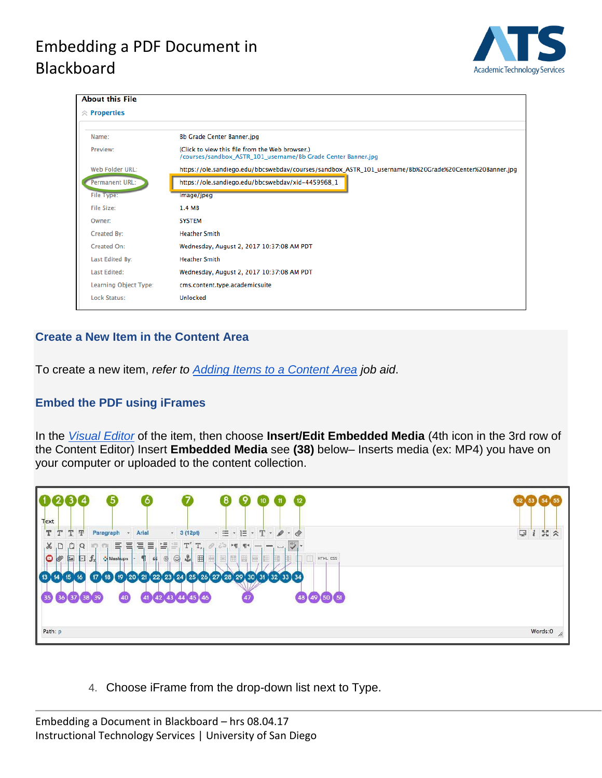# Embedding a PDF Document in Blackboard



| <b>About this File</b> |                                                                                                                  |  |  |  |  |  |
|------------------------|------------------------------------------------------------------------------------------------------------------|--|--|--|--|--|
| $\hat{z}$ Properties   |                                                                                                                  |  |  |  |  |  |
|                        |                                                                                                                  |  |  |  |  |  |
| Name:                  | <b>Bb Grade Center Banner.jpg</b>                                                                                |  |  |  |  |  |
| Preview:               | (Click to view this file from the Web browser.)<br>/courses/sandbox_ASTR_101_username/Bb Grade Center Banner.jpg |  |  |  |  |  |
| Web Folder URL:        | https://ole.sandiego.edu/bbcswebdav/courses/sandbox_ASTR_101_username/Bb%20Grade%20Center%20Banner.jpg           |  |  |  |  |  |
| <b>Permanent URL:</b>  | https://ole.sandiego.edu/bbcswebdav/xid-4459968_1                                                                |  |  |  |  |  |
| <b>File Type:</b>      | image/jpeg                                                                                                       |  |  |  |  |  |
| <b>File Size:</b>      | 1.4 MB                                                                                                           |  |  |  |  |  |
| Owner:                 | <b>SYSTEM</b>                                                                                                    |  |  |  |  |  |
| Created By:            | <b>Heather Smith</b>                                                                                             |  |  |  |  |  |
| Created On:            | Wednesday, August 2, 2017 10:37:08 AM PDT                                                                        |  |  |  |  |  |
| Last Edited By:        | <b>Heather Smith</b>                                                                                             |  |  |  |  |  |
| <b>Last Edited:</b>    | Wednesday, August 2, 2017 10:37:08 AM PDT                                                                        |  |  |  |  |  |
| Learning Object Type:  | cms.content.type.academicsuite                                                                                   |  |  |  |  |  |
| <b>Lock Status:</b>    | Unlocked                                                                                                         |  |  |  |  |  |
|                        |                                                                                                                  |  |  |  |  |  |

### **Create a New Item in the Content Area**

To create a new item, *refer to [Adding Items to a Content Area](https://docs.google.com/document/d/1I6FKVP0rS5JWoN_6SsYcO6IM9ewU1Ju8ZRBqKXGTcww/pub) job aid*.

### **Embed the PDF using iFrames**

In the *[Visual Editor](https://docs.google.com/document/d/1DiIwZkOIf8GZ5yJN0c07L3gHP8WT6Aa4W-klxfDs-Nw/pub)* of the item, then choose **Insert/Edit Embedded Media** (4th icon in the 3rd row of the Content Editor) Insert **Embedded Media** see **(38)** below– Inserts media (ex: MP4) you have on your computer or uploaded to the content collection.



4. Choose iFrame from the drop-down list next to Type.